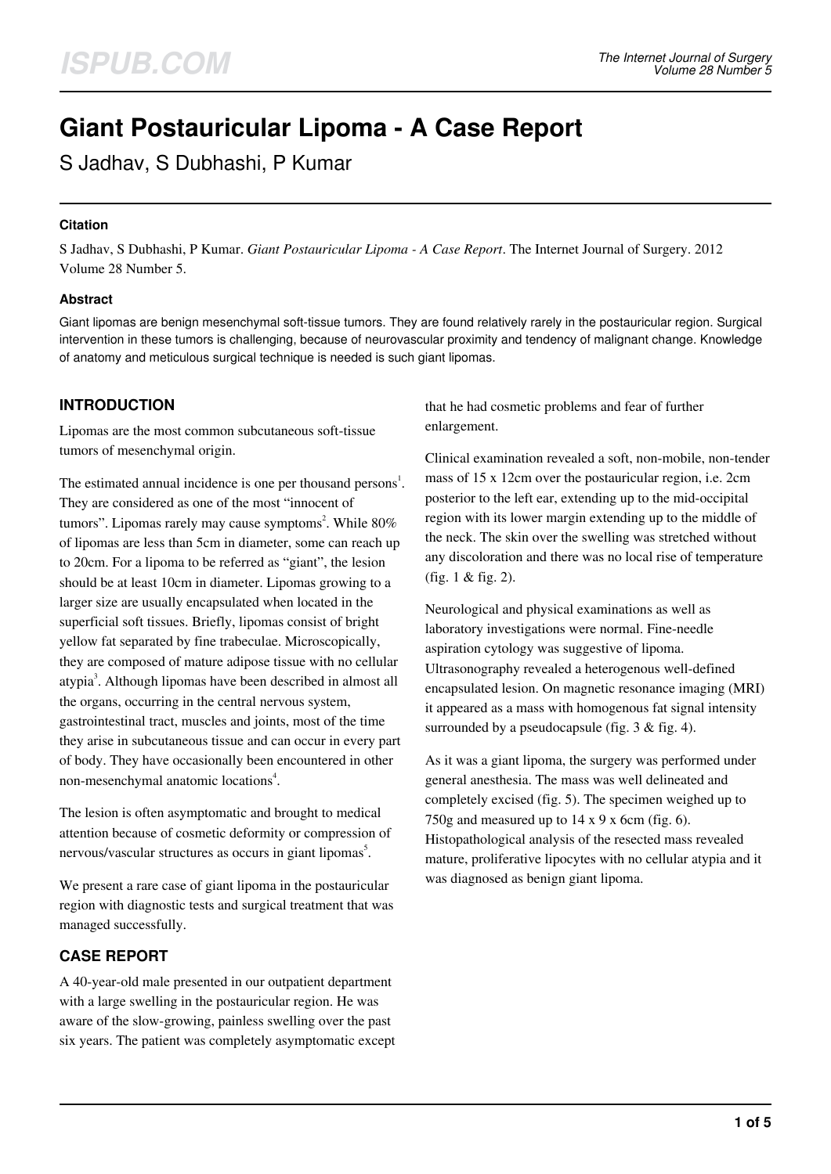# **Giant Postauricular Lipoma - A Case Report**

S Jadhav, S Dubhashi, P Kumar

### **Citation**

S Jadhav, S Dubhashi, P Kumar. *Giant Postauricular Lipoma - A Case Report*. The Internet Journal of Surgery. 2012 Volume 28 Number 5.

### **Abstract**

Giant lipomas are benign mesenchymal soft-tissue tumors. They are found relatively rarely in the postauricular region. Surgical intervention in these tumors is challenging, because of neurovascular proximity and tendency of malignant change. Knowledge of anatomy and meticulous surgical technique is needed is such giant lipomas.

# **INTRODUCTION**

Lipomas are the most common subcutaneous soft-tissue tumors of mesenchymal origin.

The estimated annual incidence is one per thousand persons<sup>1</sup>. They are considered as one of the most "innocent of tumors". Lipomas rarely may cause symptoms<sup>2</sup>. While 80% of lipomas are less than 5cm in diameter, some can reach up to 20cm. For a lipoma to be referred as "giant", the lesion should be at least 10cm in diameter. Lipomas growing to a larger size are usually encapsulated when located in the superficial soft tissues. Briefly, lipomas consist of bright yellow fat separated by fine trabeculae. Microscopically, they are composed of mature adipose tissue with no cellular atypia<sup>3</sup>. Although lipomas have been described in almost all the organs, occurring in the central nervous system, gastrointestinal tract, muscles and joints, most of the time they arise in subcutaneous tissue and can occur in every part of body. They have occasionally been encountered in other non-mesenchymal anatomic locations<sup>4</sup>.

The lesion is often asymptomatic and brought to medical attention because of cosmetic deformity or compression of nervous/vascular structures as occurs in giant lipomas<sup>5</sup>.

We present a rare case of giant lipoma in the postauricular region with diagnostic tests and surgical treatment that was managed successfully.

### **CASE REPORT**

A 40-year-old male presented in our outpatient department with a large swelling in the postauricular region. He was aware of the slow-growing, painless swelling over the past six years. The patient was completely asymptomatic except that he had cosmetic problems and fear of further enlargement.

Clinical examination revealed a soft, non-mobile, non-tender mass of 15 x 12cm over the postauricular region, i.e. 2cm posterior to the left ear, extending up to the mid-occipital region with its lower margin extending up to the middle of the neck. The skin over the swelling was stretched without any discoloration and there was no local rise of temperature (fig. 1 & fig. 2).

Neurological and physical examinations as well as laboratory investigations were normal. Fine-needle aspiration cytology was suggestive of lipoma. Ultrasonography revealed a heterogenous well-defined encapsulated lesion. On magnetic resonance imaging (MRI) it appeared as a mass with homogenous fat signal intensity surrounded by a pseudocapsule (fig. 3 & fig. 4).

As it was a giant lipoma, the surgery was performed under general anesthesia. The mass was well delineated and completely excised (fig. 5). The specimen weighed up to 750g and measured up to  $14 \times 9 \times 6$ cm (fig. 6). Histopathological analysis of the resected mass revealed mature, proliferative lipocytes with no cellular atypia and it was diagnosed as benign giant lipoma.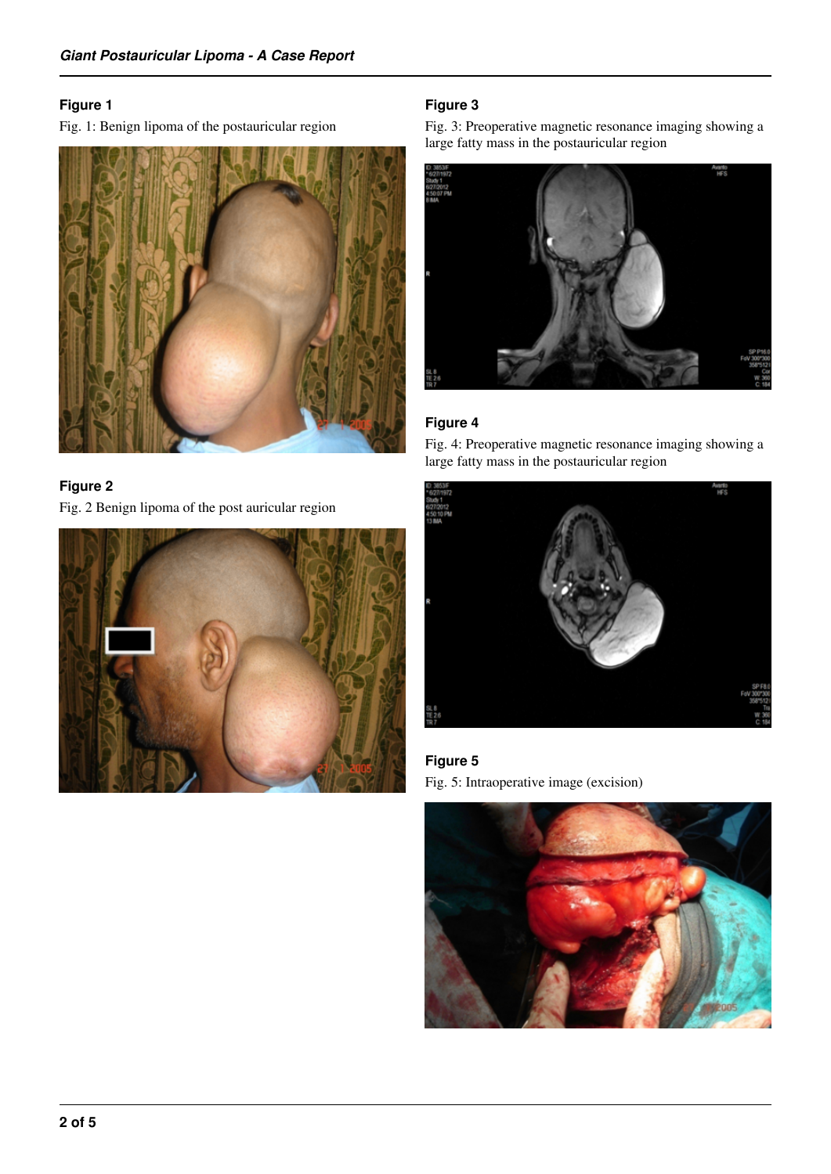# **Figure 1**

Fig. 1: Benign lipoma of the postauricular region



# **Figure 2**

Fig. 2 Benign lipoma of the post auricular region



# **Figure 3**

Fig. 3: Preoperative magnetic resonance imaging showing a large fatty mass in the postauricular region



# **Figure 4**

Fig. 4: Preoperative magnetic resonance imaging showing a large fatty mass in the postauricular region



# **Figure 5**

Fig. 5: Intraoperative image (excision)

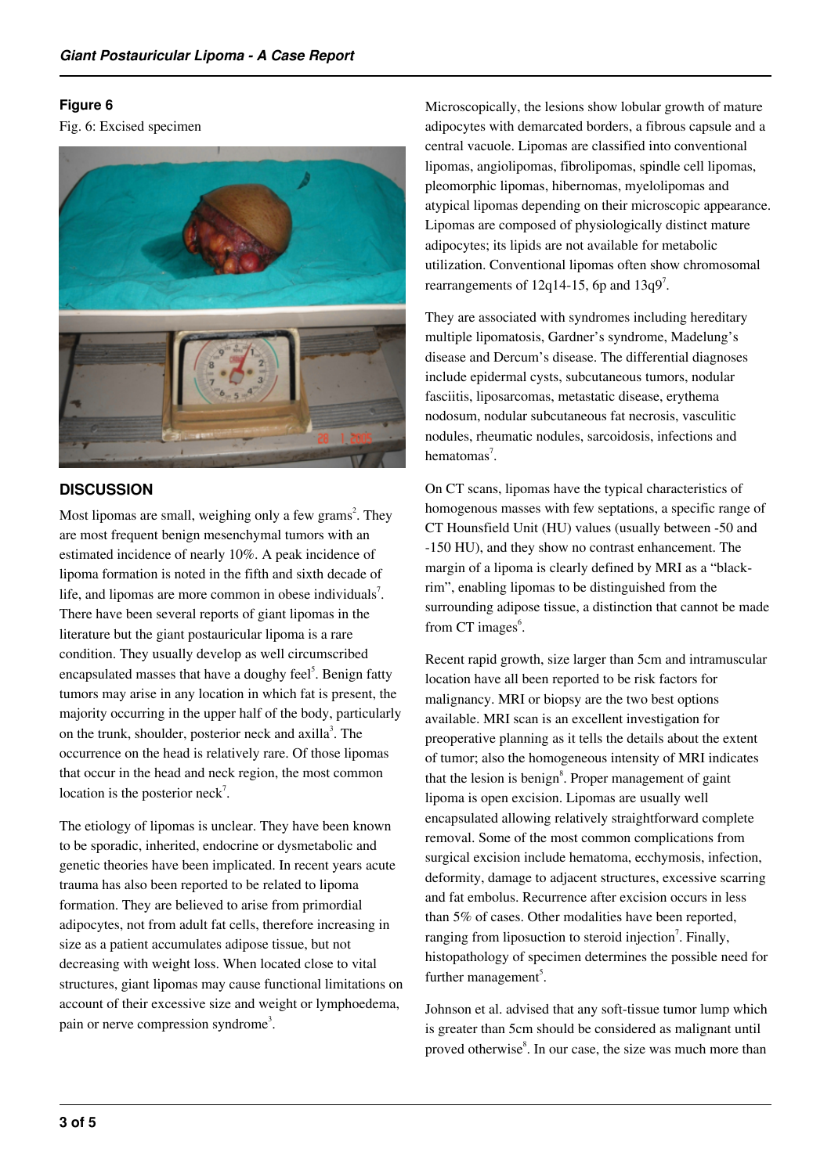### **Figure 6**

Fig. 6: Excised specimen



# **DISCUSSION**

Most lipomas are small, weighing only a few grams<sup>2</sup>. They are most frequent benign mesenchymal tumors with an estimated incidence of nearly 10%. A peak incidence of lipoma formation is noted in the fifth and sixth decade of life, and lipomas are more common in obese individuals<sup>7</sup>. There have been several reports of giant lipomas in the literature but the giant postauricular lipoma is a rare condition. They usually develop as well circumscribed encapsulated masses that have a doughy feel<sup>5</sup>. Benign fatty tumors may arise in any location in which fat is present, the majority occurring in the upper half of the body, particularly on the trunk, shoulder, posterior neck and axilla<sup>3</sup>. The occurrence on the head is relatively rare. Of those lipomas that occur in the head and neck region, the most common location is the posterior neck<sup>7</sup>.

The etiology of lipomas is unclear. They have been known to be sporadic, inherited, endocrine or dysmetabolic and genetic theories have been implicated. In recent years acute trauma has also been reported to be related to lipoma formation. They are believed to arise from primordial adipocytes, not from adult fat cells, therefore increasing in size as a patient accumulates adipose tissue, but not decreasing with weight loss. When located close to vital structures, giant lipomas may cause functional limitations on account of their excessive size and weight or lymphoedema, pain or nerve compression syndrome<sup>3</sup>.

Microscopically, the lesions show lobular growth of mature adipocytes with demarcated borders, a fibrous capsule and a central vacuole. Lipomas are classified into conventional lipomas, angiolipomas, fibrolipomas, spindle cell lipomas, pleomorphic lipomas, hibernomas, myelolipomas and atypical lipomas depending on their microscopic appearance. Lipomas are composed of physiologically distinct mature adipocytes; its lipids are not available for metabolic utilization. Conventional lipomas often show chromosomal rearrangements of 12q14-15, 6p and  $13q9^7$ .

They are associated with syndromes including hereditary multiple lipomatosis, Gardner's syndrome, Madelung's disease and Dercum's disease. The differential diagnoses include epidermal cysts, subcutaneous tumors, nodular fasciitis, liposarcomas, metastatic disease, erythema nodosum, nodular subcutaneous fat necrosis, vasculitic nodules, rheumatic nodules, sarcoidosis, infections and hematomas<sup>7</sup>.

On CT scans, lipomas have the typical characteristics of homogenous masses with few septations, a specific range of CT Hounsfield Unit (HU) values (usually between -50 and -150 HU), and they show no contrast enhancement. The margin of a lipoma is clearly defined by MRI as a "blackrim", enabling lipomas to be distinguished from the surrounding adipose tissue, a distinction that cannot be made from CT images<sup>6</sup>.

Recent rapid growth, size larger than 5cm and intramuscular location have all been reported to be risk factors for malignancy. MRI or biopsy are the two best options available. MRI scan is an excellent investigation for preoperative planning as it tells the details about the extent of tumor; also the homogeneous intensity of MRI indicates that the lesion is benign<sup>8</sup>. Proper management of gaint lipoma is open excision. Lipomas are usually well encapsulated allowing relatively straightforward complete removal. Some of the most common complications from surgical excision include hematoma, ecchymosis, infection, deformity, damage to adjacent structures, excessive scarring and fat embolus. Recurrence after excision occurs in less than 5% of cases. Other modalities have been reported, ranging from liposuction to steroid injection<sup>7</sup>. Finally, histopathology of specimen determines the possible need for further management<sup>5</sup>.

Johnson et al. advised that any soft-tissue tumor lump which is greater than 5cm should be considered as malignant until proved otherwise<sup>8</sup>. In our case, the size was much more than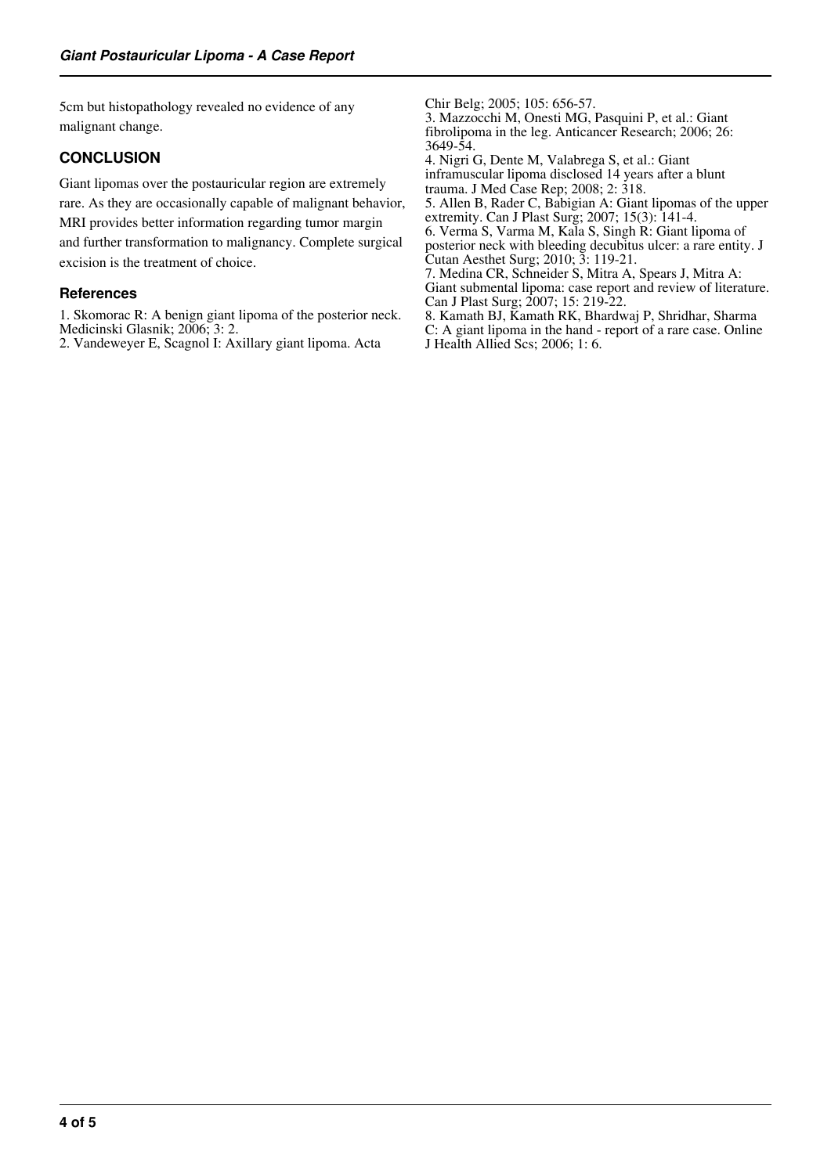5cm but histopathology revealed no evidence of any malignant change.

# **CONCLUSION**

Giant lipomas over the postauricular region are extremely rare. As they are occasionally capable of malignant behavior, MRI provides better information regarding tumor margin and further transformation to malignancy. Complete surgical excision is the treatment of choice.

### **References**

1. Skomorac R: A benign giant lipoma of the posterior neck. Medicinski Glasnik; 2006; 3: 2.

2. Vandeweyer E, Scagnol I: Axillary giant lipoma. Acta

Chir Belg; 2005; 105: 656-57. 3. Mazzocchi M, Onesti MG, Pasquini P, et al.: Giant fibrolipoma in the leg. Anticancer Research; 2006; 26: 3649-54. 4. Nigri G, Dente M, Valabrega S, et al.: Giant inframuscular lipoma disclosed 14 years after a blunt trauma. J Med Case Rep; 2008; 2: 318. 5. Allen B, Rader C, Babigian A: Giant lipomas of the upper extremity. Can J Plast Surg; 2007; 15(3): 141-4. 6. Verma S, Varma M, Kala S, Singh R: Giant lipoma of posterior neck with bleeding decubitus ulcer: a rare entity. J Cutan Aesthet Surg; 2010; 3: 119-21. 7. Medina CR, Schneider S, Mitra A, Spears J, Mitra A: Giant submental lipoma: case report and review of literature. Can J Plast Surg; 2007; 15: 219-22. 8. Kamath BJ, Kamath RK, Bhardwaj P, Shridhar, Sharma C: A giant lipoma in the hand - report of a rare case. Online J Health Allied Scs; 2006; 1: 6.